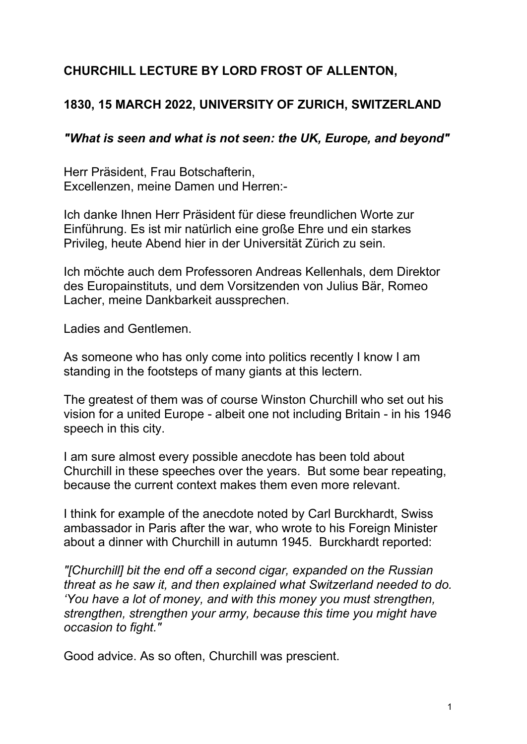# **CHURCHILL LECTURE BY LORD FROST OF ALLENTON,**

# **1830, 15 MARCH 2022, UNIVERSITY OF ZURICH, SWITZERLAND**

## *"What is seen and what is not seen: the UK, Europe, and beyond"*

Herr Präsident, Frau Botschafterin, Excellenzen, meine Damen und Herren:-

Ich danke Ihnen Herr Präsident für diese freundlichen Worte zur Einführung. Es ist mir natürlich eine große Ehre und ein starkes Privileg, heute Abend hier in der Universität Zürich zu sein.

Ich möchte auch dem Professoren Andreas Kellenhals, dem Direktor des Europainstituts, und dem Vorsitzenden von Julius Bär, Romeo Lacher, meine Dankbarkeit aussprechen.

Ladies and Gentlemen.

As someone who has only come into politics recently I know I am standing in the footsteps of many giants at this lectern.

The greatest of them was of course Winston Churchill who set out his vision for a united Europe - albeit one not including Britain - in his 1946 speech in this city.

I am sure almost every possible anecdote has been told about Churchill in these speeches over the years. But some bear repeating, because the current context makes them even more relevant.

I think for example of the anecdote noted by Carl Burckhardt, Swiss ambassador in Paris after the war, who wrote to his Foreign Minister about a dinner with Churchill in autumn 1945. Burckhardt reported:

*"[Churchill] bit the end off a second cigar, expanded on the Russian threat as he saw it, and then explained what Switzerland needed to do. 'You have a lot of money, and with this money you must strengthen, strengthen, strengthen your army, because this time you might have occasion to fight."*

Good advice. As so often, Churchill was prescient.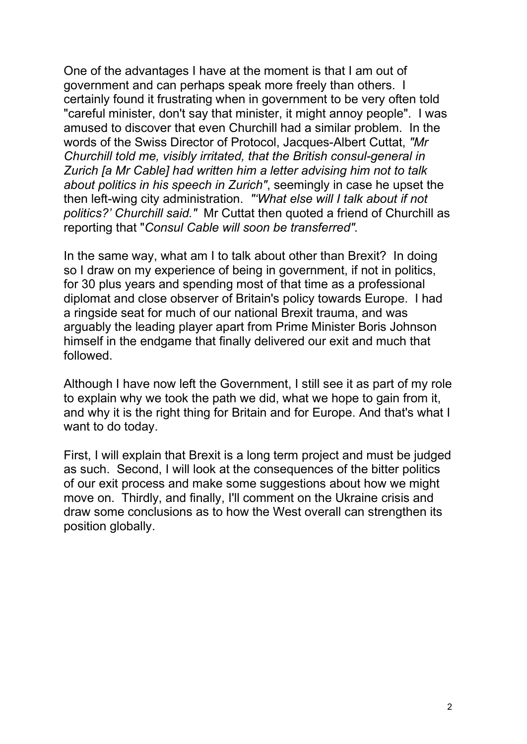One of the advantages I have at the moment is that I am out of government and can perhaps speak more freely than others. I certainly found it frustrating when in government to be very often told "careful minister, don't say that minister, it might annoy people". I was amused to discover that even Churchill had a similar problem. In the words of the Swiss Director of Protocol, Jacques-Albert Cuttat, *"Mr Churchill told me, visibly irritated, that the British consul-general in Zurich [a Mr Cable] had written him a letter advising him not to talk about politics in his speech in Zurich"*, seemingly in case he upset the then left-wing city administration. *"'What else will I talk about if not politics?' Churchill said."* Mr Cuttat then quoted a friend of Churchill as reporting that "*Consul Cable will soon be transferred".*

In the same way, what am I to talk about other than Brexit? In doing so I draw on my experience of being in government, if not in politics, for 30 plus years and spending most of that time as a professional diplomat and close observer of Britain's policy towards Europe. I had a ringside seat for much of our national Brexit trauma, and was arguably the leading player apart from Prime Minister Boris Johnson himself in the endgame that finally delivered our exit and much that followed.

Although I have now left the Government, I still see it as part of my role to explain why we took the path we did, what we hope to gain from it, and why it is the right thing for Britain and for Europe. And that's what I want to do today.

First, I will explain that Brexit is a long term project and must be judged as such. Second, I will look at the consequences of the bitter politics of our exit process and make some suggestions about how we might move on. Thirdly, and finally, I'll comment on the Ukraine crisis and draw some conclusions as to how the West overall can strengthen its position globally.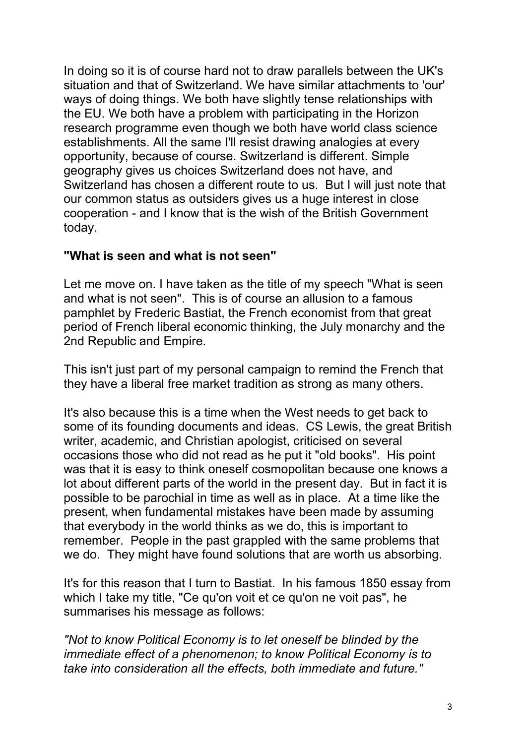In doing so it is of course hard not to draw parallels between the UK's situation and that of Switzerland. We have similar attachments to 'our' ways of doing things. We both have slightly tense relationships with the EU. We both have a problem with participating in the Horizon research programme even though we both have world class science establishments. All the same I'll resist drawing analogies at every opportunity, because of course. Switzerland is different. Simple geography gives us choices Switzerland does not have, and Switzerland has chosen a different route to us. But I will just note that our common status as outsiders gives us a huge interest in close cooperation - and I know that is the wish of the British Government today.

## **"What is seen and what is not seen"**

Let me move on. I have taken as the title of my speech "What is seen and what is not seen". This is of course an allusion to a famous pamphlet by Frederic Bastiat, the French economist from that great period of French liberal economic thinking, the July monarchy and the 2nd Republic and Empire.

This isn't just part of my personal campaign to remind the French that they have a liberal free market tradition as strong as many others.

It's also because this is a time when the West needs to get back to some of its founding documents and ideas. CS Lewis, the great British writer, academic, and Christian apologist, criticised on several occasions those who did not read as he put it "old books". His point was that it is easy to think oneself cosmopolitan because one knows a lot about different parts of the world in the present day. But in fact it is possible to be parochial in time as well as in place. At a time like the present, when fundamental mistakes have been made by assuming that everybody in the world thinks as we do, this is important to remember. People in the past grappled with the same problems that we do. They might have found solutions that are worth us absorbing.

It's for this reason that I turn to Bastiat. In his famous 1850 essay from which I take my title, "Ce qu'on voit et ce qu'on ne voit pas", he summarises his message as follows:

*"Not to know Political Economy is to let oneself be blinded by the immediate effect of a phenomenon; to know Political Economy is to take into consideration all the effects, both immediate and future."*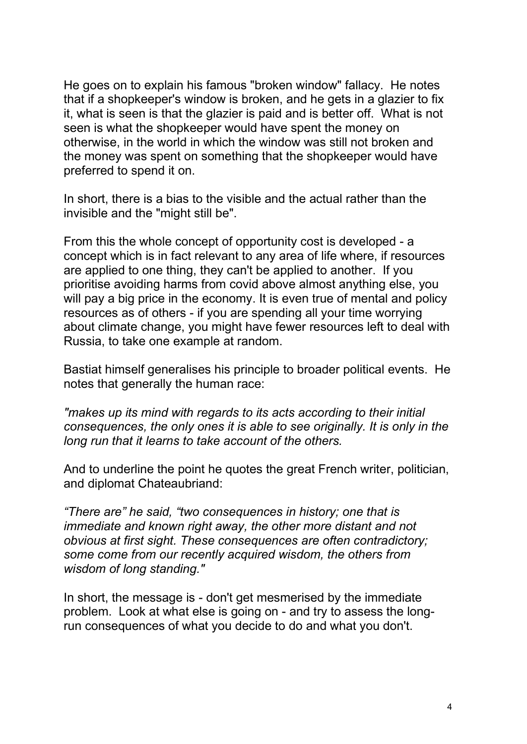He goes on to explain his famous "broken window" fallacy. He notes that if a shopkeeper's window is broken, and he gets in a glazier to fix it, what is seen is that the glazier is paid and is better off. What is not seen is what the shopkeeper would have spent the money on otherwise, in the world in which the window was still not broken and the money was spent on something that the shopkeeper would have preferred to spend it on.

In short, there is a bias to the visible and the actual rather than the invisible and the "might still be".

From this the whole concept of opportunity cost is developed - a concept which is in fact relevant to any area of life where, if resources are applied to one thing, they can't be applied to another. If you prioritise avoiding harms from covid above almost anything else, you will pay a big price in the economy. It is even true of mental and policy resources as of others - if you are spending all your time worrying about climate change, you might have fewer resources left to deal with Russia, to take one example at random.

Bastiat himself generalises his principle to broader political events. He notes that generally the human race:

*"makes up its mind with regards to its acts according to their initial consequences, the only ones it is able to see originally. It is only in the long run that it learns to take account of the others.* 

And to underline the point he quotes the great French writer, politician, and diplomat Chateaubriand:

*"There are" he said, "two consequences in history; one that is immediate and known right away, the other more distant and not obvious at first sight. These consequences are often contradictory; some come from our recently acquired wisdom, the others from wisdom of long standing."* 

In short, the message is - don't get mesmerised by the immediate problem. Look at what else is going on - and try to assess the longrun consequences of what you decide to do and what you don't.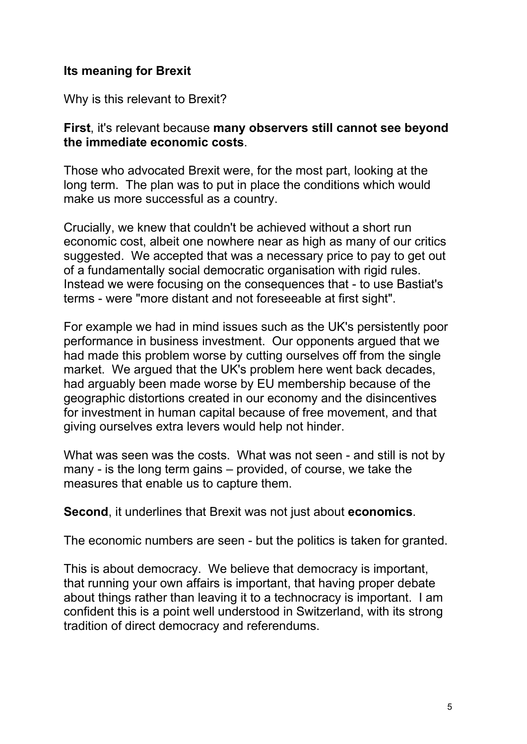## **Its meaning for Brexit**

Why is this relevant to Brexit?

#### **First**, it's relevant because **many observers still cannot see beyond the immediate economic costs**.

Those who advocated Brexit were, for the most part, looking at the long term. The plan was to put in place the conditions which would make us more successful as a country.

Crucially, we knew that couldn't be achieved without a short run economic cost, albeit one nowhere near as high as many of our critics suggested. We accepted that was a necessary price to pay to get out of a fundamentally social democratic organisation with rigid rules. Instead we were focusing on the consequences that - to use Bastiat's terms - were "more distant and not foreseeable at first sight".

For example we had in mind issues such as the UK's persistently poor performance in business investment. Our opponents argued that we had made this problem worse by cutting ourselves off from the single market. We argued that the UK's problem here went back decades, had arguably been made worse by EU membership because of the geographic distortions created in our economy and the disincentives for investment in human capital because of free movement, and that giving ourselves extra levers would help not hinder.

What was seen was the costs. What was not seen - and still is not by many - is the long term gains – provided, of course, we take the measures that enable us to capture them.

**Second**, it underlines that Brexit was not just about **economics**.

The economic numbers are seen - but the politics is taken for granted.

This is about democracy. We believe that democracy is important, that running your own affairs is important, that having proper debate about things rather than leaving it to a technocracy is important. I am confident this is a point well understood in Switzerland, with its strong tradition of direct democracy and referendums.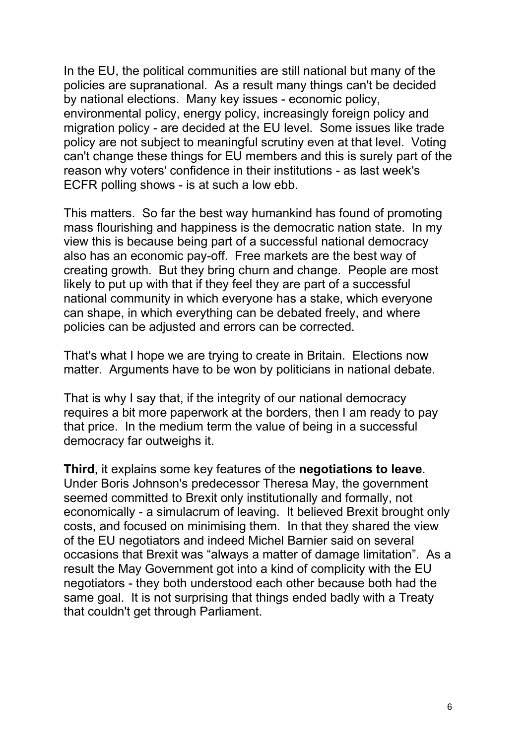In the EU, the political communities are still national but many of the policies are supranational. As a result many things can't be decided by national elections. Many key issues - economic policy, environmental policy, energy policy, increasingly foreign policy and migration policy - are decided at the EU level. Some issues like trade policy are not subject to meaningful scrutiny even at that level. Voting can't change these things for EU members and this is surely part of the reason why voters' confidence in their institutions - as last week's ECFR polling shows - is at such a low ebb.

This matters. So far the best way humankind has found of promoting mass flourishing and happiness is the democratic nation state. In my view this is because being part of a successful national democracy also has an economic pay-off. Free markets are the best way of creating growth. But they bring churn and change. People are most likely to put up with that if they feel they are part of a successful national community in which everyone has a stake, which everyone can shape, in which everything can be debated freely, and where policies can be adjusted and errors can be corrected.

That's what I hope we are trying to create in Britain. Elections now matter. Arguments have to be won by politicians in national debate.

That is why I say that, if the integrity of our national democracy requires a bit more paperwork at the borders, then I am ready to pay that price. In the medium term the value of being in a successful democracy far outweighs it.

**Third**, it explains some key features of the **negotiations to leave**. Under Boris Johnson's predecessor Theresa May, the government seemed committed to Brexit only institutionally and formally, not economically - a simulacrum of leaving. It believed Brexit brought only costs, and focused on minimising them. In that they shared the view of the EU negotiators and indeed Michel Barnier said on several occasions that Brexit was "always a matter of damage limitation". As a result the May Government got into a kind of complicity with the EU negotiators - they both understood each other because both had the same goal. It is not surprising that things ended badly with a Treaty that couldn't get through Parliament.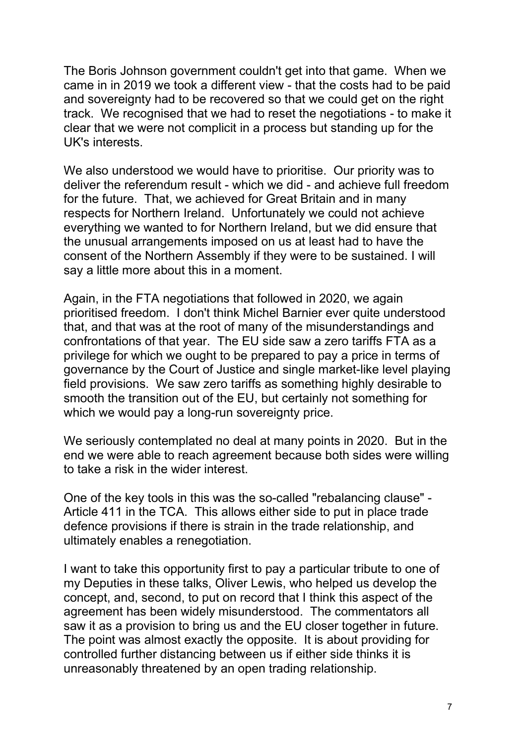The Boris Johnson government couldn't get into that game. When we came in in 2019 we took a different view - that the costs had to be paid and sovereignty had to be recovered so that we could get on the right track. We recognised that we had to reset the negotiations - to make it clear that we were not complicit in a process but standing up for the UK's interests.

We also understood we would have to prioritise. Our priority was to deliver the referendum result - which we did - and achieve full freedom for the future. That, we achieved for Great Britain and in many respects for Northern Ireland. Unfortunately we could not achieve everything we wanted to for Northern Ireland, but we did ensure that the unusual arrangements imposed on us at least had to have the consent of the Northern Assembly if they were to be sustained. I will say a little more about this in a moment.

Again, in the FTA negotiations that followed in 2020, we again prioritised freedom. I don't think Michel Barnier ever quite understood that, and that was at the root of many of the misunderstandings and confrontations of that year. The EU side saw a zero tariffs FTA as a privilege for which we ought to be prepared to pay a price in terms of governance by the Court of Justice and single market-like level playing field provisions. We saw zero tariffs as something highly desirable to smooth the transition out of the EU, but certainly not something for which we would pay a long-run sovereignty price.

We seriously contemplated no deal at many points in 2020. But in the end we were able to reach agreement because both sides were willing to take a risk in the wider interest.

One of the key tools in this was the so-called "rebalancing clause" - Article 411 in the TCA. This allows either side to put in place trade defence provisions if there is strain in the trade relationship, and ultimately enables a renegotiation.

I want to take this opportunity first to pay a particular tribute to one of my Deputies in these talks, Oliver Lewis, who helped us develop the concept, and, second, to put on record that I think this aspect of the agreement has been widely misunderstood. The commentators all saw it as a provision to bring us and the EU closer together in future. The point was almost exactly the opposite. It is about providing for controlled further distancing between us if either side thinks it is unreasonably threatened by an open trading relationship.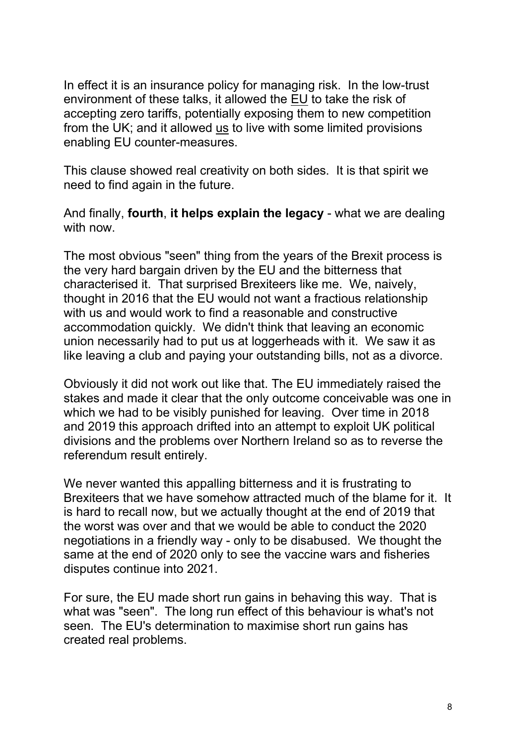In effect it is an insurance policy for managing risk. In the low-trust environment of these talks, it allowed the EU to take the risk of accepting zero tariffs, potentially exposing them to new competition from the UK; and it allowed us to live with some limited provisions enabling EU counter-measures.

This clause showed real creativity on both sides. It is that spirit we need to find again in the future.

And finally, **fourth**, **it helps explain the legacy** - what we are dealing with now.

The most obvious "seen" thing from the years of the Brexit process is the very hard bargain driven by the EU and the bitterness that characterised it. That surprised Brexiteers like me. We, naively, thought in 2016 that the EU would not want a fractious relationship with us and would work to find a reasonable and constructive accommodation quickly. We didn't think that leaving an economic union necessarily had to put us at loggerheads with it. We saw it as like leaving a club and paying your outstanding bills, not as a divorce.

Obviously it did not work out like that. The EU immediately raised the stakes and made it clear that the only outcome conceivable was one in which we had to be visibly punished for leaving. Over time in 2018 and 2019 this approach drifted into an attempt to exploit UK political divisions and the problems over Northern Ireland so as to reverse the referendum result entirely.

We never wanted this appalling bitterness and it is frustrating to Brexiteers that we have somehow attracted much of the blame for it. It is hard to recall now, but we actually thought at the end of 2019 that the worst was over and that we would be able to conduct the 2020 negotiations in a friendly way - only to be disabused. We thought the same at the end of 2020 only to see the vaccine wars and fisheries disputes continue into 2021.

For sure, the EU made short run gains in behaving this way. That is what was "seen". The long run effect of this behaviour is what's not seen. The EU's determination to maximise short run gains has created real problems.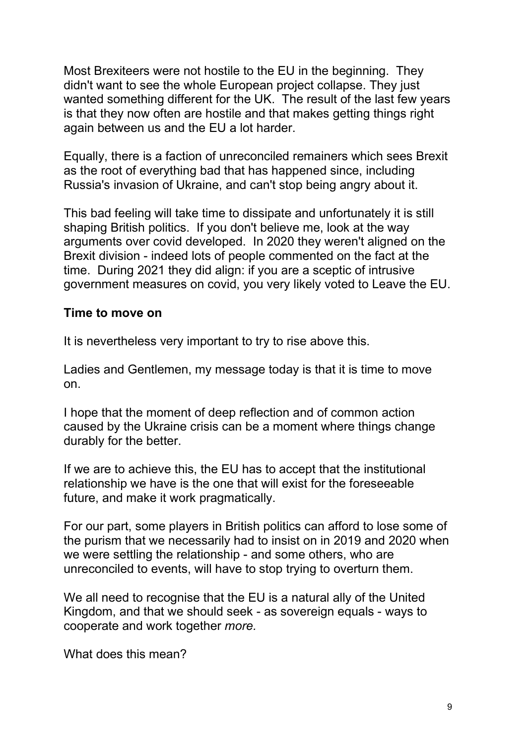Most Brexiteers were not hostile to the EU in the beginning. They didn't want to see the whole European project collapse. They just wanted something different for the UK. The result of the last few years is that they now often are hostile and that makes getting things right again between us and the EU a lot harder.

Equally, there is a faction of unreconciled remainers which sees Brexit as the root of everything bad that has happened since, including Russia's invasion of Ukraine, and can't stop being angry about it.

This bad feeling will take time to dissipate and unfortunately it is still shaping British politics. If you don't believe me, look at the way arguments over covid developed. In 2020 they weren't aligned on the Brexit division - indeed lots of people commented on the fact at the time. During 2021 they did align: if you are a sceptic of intrusive government measures on covid, you very likely voted to Leave the EU.

#### **Time to move on**

It is nevertheless very important to try to rise above this.

Ladies and Gentlemen, my message today is that it is time to move on.

I hope that the moment of deep reflection and of common action caused by the Ukraine crisis can be a moment where things change durably for the better.

If we are to achieve this, the EU has to accept that the institutional relationship we have is the one that will exist for the foreseeable future, and make it work pragmatically.

For our part, some players in British politics can afford to lose some of the purism that we necessarily had to insist on in 2019 and 2020 when we were settling the relationship - and some others, who are unreconciled to events, will have to stop trying to overturn them.

We all need to recognise that the EU is a natural ally of the United Kingdom, and that we should seek - as sovereign equals - ways to cooperate and work together *more.* 

What does this mean?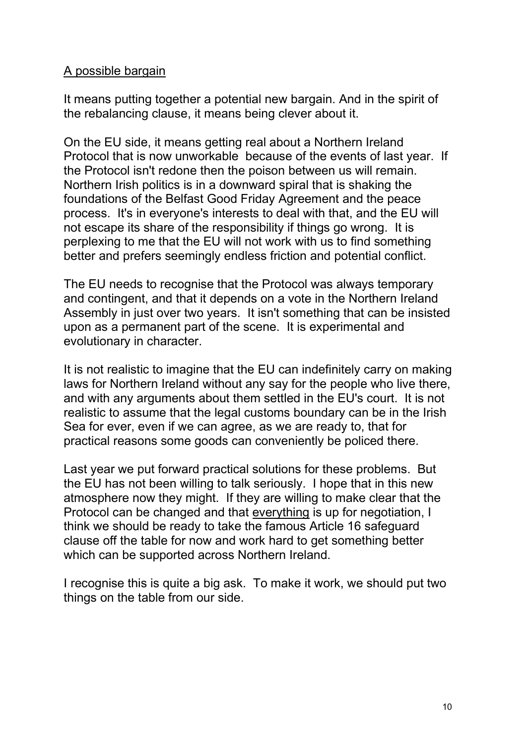## A possible bargain

It means putting together a potential new bargain. And in the spirit of the rebalancing clause, it means being clever about it.

On the EU side, it means getting real about a Northern Ireland Protocol that is now unworkable because of the events of last year. If the Protocol isn't redone then the poison between us will remain. Northern Irish politics is in a downward spiral that is shaking the foundations of the Belfast Good Friday Agreement and the peace process. It's in everyone's interests to deal with that, and the EU will not escape its share of the responsibility if things go wrong. It is perplexing to me that the EU will not work with us to find something better and prefers seemingly endless friction and potential conflict.

The EU needs to recognise that the Protocol was always temporary and contingent, and that it depends on a vote in the Northern Ireland Assembly in just over two years. It isn't something that can be insisted upon as a permanent part of the scene. It is experimental and evolutionary in character.

It is not realistic to imagine that the EU can indefinitely carry on making laws for Northern Ireland without any say for the people who live there, and with any arguments about them settled in the EU's court. It is not realistic to assume that the legal customs boundary can be in the Irish Sea for ever, even if we can agree, as we are ready to, that for practical reasons some goods can conveniently be policed there.

Last year we put forward practical solutions for these problems. But the EU has not been willing to talk seriously. I hope that in this new atmosphere now they might. If they are willing to make clear that the Protocol can be changed and that everything is up for negotiation, I think we should be ready to take the famous Article 16 safeguard clause off the table for now and work hard to get something better which can be supported across Northern Ireland.

I recognise this is quite a big ask. To make it work, we should put two things on the table from our side.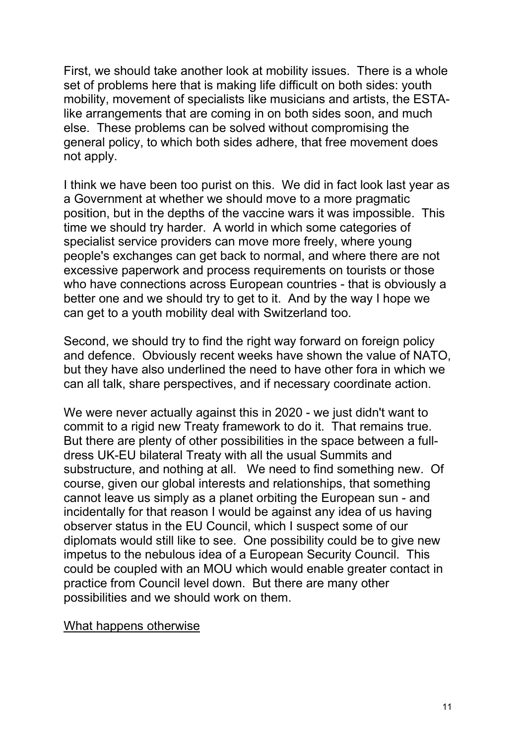First, we should take another look at mobility issues. There is a whole set of problems here that is making life difficult on both sides: youth mobility, movement of specialists like musicians and artists, the ESTAlike arrangements that are coming in on both sides soon, and much else. These problems can be solved without compromising the general policy, to which both sides adhere, that free movement does not apply.

I think we have been too purist on this. We did in fact look last year as a Government at whether we should move to a more pragmatic position, but in the depths of the vaccine wars it was impossible. This time we should try harder. A world in which some categories of specialist service providers can move more freely, where young people's exchanges can get back to normal, and where there are not excessive paperwork and process requirements on tourists or those who have connections across European countries - that is obviously a better one and we should try to get to it. And by the way I hope we can get to a youth mobility deal with Switzerland too.

Second, we should try to find the right way forward on foreign policy and defence. Obviously recent weeks have shown the value of NATO, but they have also underlined the need to have other fora in which we can all talk, share perspectives, and if necessary coordinate action.

We were never actually against this in 2020 - we just didn't want to commit to a rigid new Treaty framework to do it. That remains true. But there are plenty of other possibilities in the space between a fulldress UK-EU bilateral Treaty with all the usual Summits and substructure, and nothing at all. We need to find something new. Of course, given our global interests and relationships, that something cannot leave us simply as a planet orbiting the European sun - and incidentally for that reason I would be against any idea of us having observer status in the EU Council, which I suspect some of our diplomats would still like to see. One possibility could be to give new impetus to the nebulous idea of a European Security Council. This could be coupled with an MOU which would enable greater contact in practice from Council level down. But there are many other possibilities and we should work on them.

What happens otherwise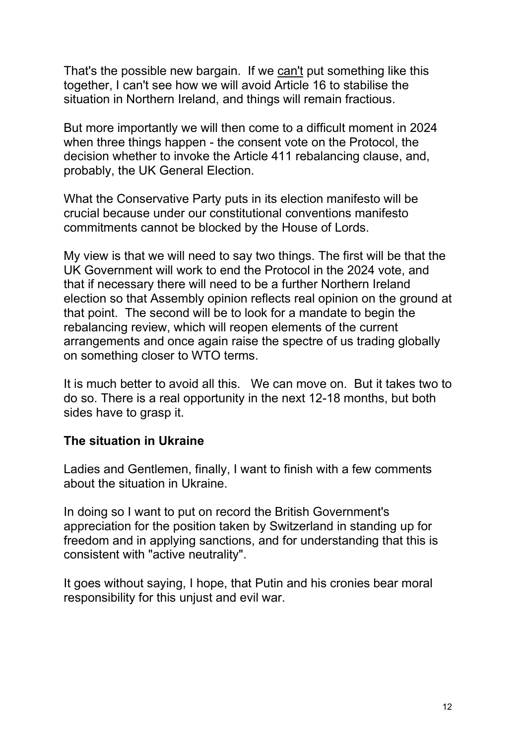That's the possible new bargain. If we can't put something like this together, I can't see how we will avoid Article 16 to stabilise the situation in Northern Ireland, and things will remain fractious.

But more importantly we will then come to a difficult moment in 2024 when three things happen - the consent vote on the Protocol, the decision whether to invoke the Article 411 rebalancing clause, and, probably, the UK General Election.

What the Conservative Party puts in its election manifesto will be crucial because under our constitutional conventions manifesto commitments cannot be blocked by the House of Lords.

My view is that we will need to say two things. The first will be that the UK Government will work to end the Protocol in the 2024 vote, and that if necessary there will need to be a further Northern Ireland election so that Assembly opinion reflects real opinion on the ground at that point. The second will be to look for a mandate to begin the rebalancing review, which will reopen elements of the current arrangements and once again raise the spectre of us trading globally on something closer to WTO terms.

It is much better to avoid all this. We can move on. But it takes two to do so. There is a real opportunity in the next 12-18 months, but both sides have to grasp it.

## **The situation in Ukraine**

Ladies and Gentlemen, finally, I want to finish with a few comments about the situation in Ukraine.

In doing so I want to put on record the British Government's appreciation for the position taken by Switzerland in standing up for freedom and in applying sanctions, and for understanding that this is consistent with "active neutrality".

It goes without saying, I hope, that Putin and his cronies bear moral responsibility for this unjust and evil war.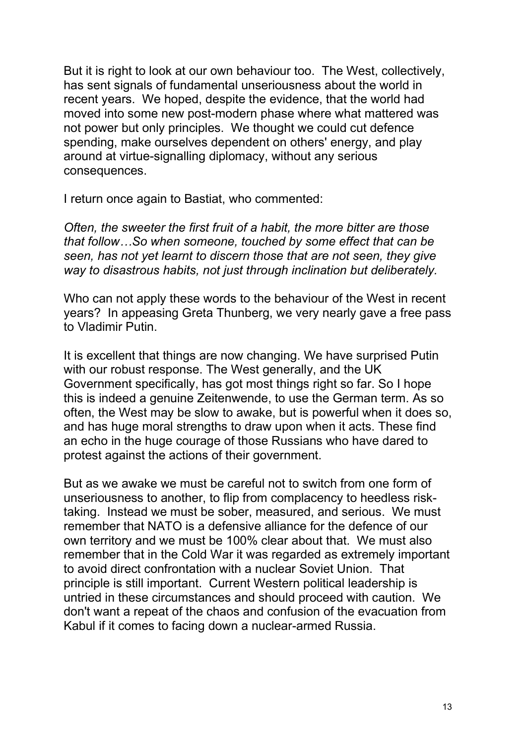But it is right to look at our own behaviour too. The West, collectively, has sent signals of fundamental unseriousness about the world in recent years. We hoped, despite the evidence, that the world had moved into some new post-modern phase where what mattered was not power but only principles. We thought we could cut defence spending, make ourselves dependent on others' energy, and play around at virtue-signalling diplomacy, without any serious consequences.

I return once again to Bastiat, who commented:

*Often, the sweeter the first fruit of a habit, the more bitter are those that follow…So when someone, touched by some effect that can be seen, has not yet learnt to discern those that are not seen, they give way to disastrous habits, not just through inclination but deliberately.*

Who can not apply these words to the behaviour of the West in recent years? In appeasing Greta Thunberg, we very nearly gave a free pass to Vladimir Putin.

It is excellent that things are now changing. We have surprised Putin with our robust response. The West generally, and the UK Government specifically, has got most things right so far. So I hope this is indeed a genuine Zeitenwende, to use the German term. As so often, the West may be slow to awake, but is powerful when it does so, and has huge moral strengths to draw upon when it acts. These find an echo in the huge courage of those Russians who have dared to protest against the actions of their government.

But as we awake we must be careful not to switch from one form of unseriousness to another, to flip from complacency to heedless risktaking. Instead we must be sober, measured, and serious. We must remember that NATO is a defensive alliance for the defence of our own territory and we must be 100% clear about that. We must also remember that in the Cold War it was regarded as extremely important to avoid direct confrontation with a nuclear Soviet Union. That principle is still important. Current Western political leadership is untried in these circumstances and should proceed with caution. We don't want a repeat of the chaos and confusion of the evacuation from Kabul if it comes to facing down a nuclear-armed Russia.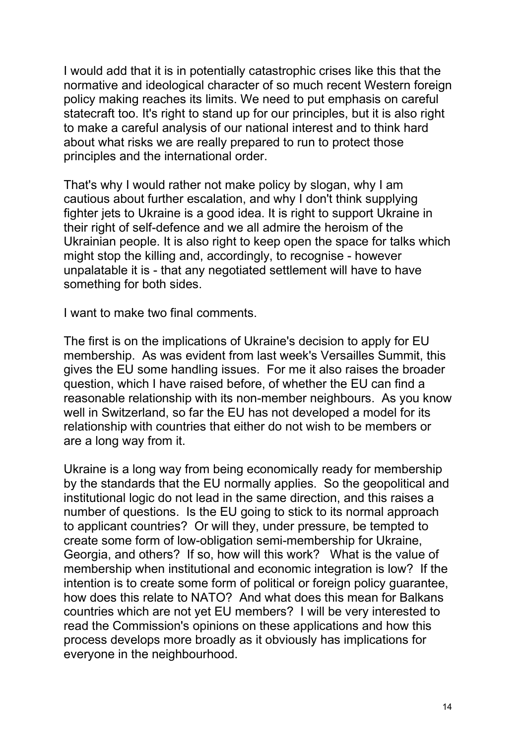I would add that it is in potentially catastrophic crises like this that the normative and ideological character of so much recent Western foreign policy making reaches its limits. We need to put emphasis on careful statecraft too. It's right to stand up for our principles, but it is also right to make a careful analysis of our national interest and to think hard about what risks we are really prepared to run to protect those principles and the international order.

That's why I would rather not make policy by slogan, why I am cautious about further escalation, and why I don't think supplying fighter jets to Ukraine is a good idea. It is right to support Ukraine in their right of self-defence and we all admire the heroism of the Ukrainian people. It is also right to keep open the space for talks which might stop the killing and, accordingly, to recognise - however unpalatable it is - that any negotiated settlement will have to have something for both sides.

I want to make two final comments.

The first is on the implications of Ukraine's decision to apply for EU membership. As was evident from last week's Versailles Summit, this gives the EU some handling issues. For me it also raises the broader question, which I have raised before, of whether the EU can find a reasonable relationship with its non-member neighbours. As you know well in Switzerland, so far the EU has not developed a model for its relationship with countries that either do not wish to be members or are a long way from it.

Ukraine is a long way from being economically ready for membership by the standards that the EU normally applies. So the geopolitical and institutional logic do not lead in the same direction, and this raises a number of questions. Is the EU going to stick to its normal approach to applicant countries? Or will they, under pressure, be tempted to create some form of low-obligation semi-membership for Ukraine, Georgia, and others? If so, how will this work? What is the value of membership when institutional and economic integration is low? If the intention is to create some form of political or foreign policy guarantee, how does this relate to NATO? And what does this mean for Balkans countries which are not yet EU members? I will be very interested to read the Commission's opinions on these applications and how this process develops more broadly as it obviously has implications for everyone in the neighbourhood.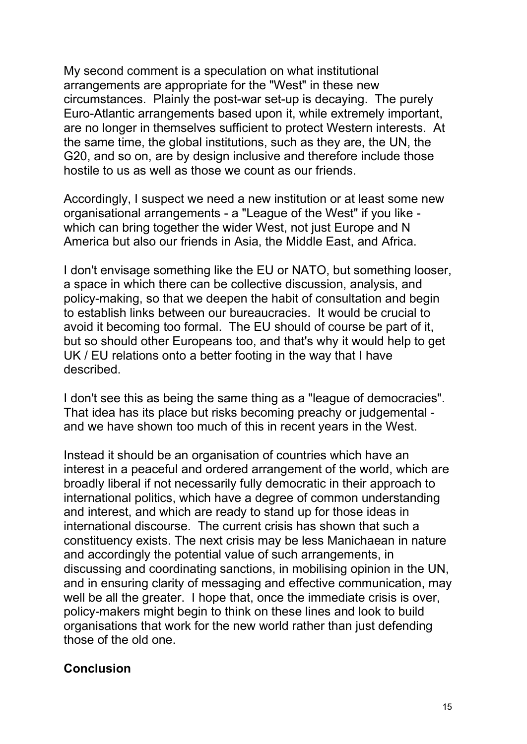My second comment is a speculation on what institutional arrangements are appropriate for the "West" in these new circumstances. Plainly the post-war set-up is decaying. The purely Euro-Atlantic arrangements based upon it, while extremely important, are no longer in themselves sufficient to protect Western interests. At the same time, the global institutions, such as they are, the UN, the G20, and so on, are by design inclusive and therefore include those hostile to us as well as those we count as our friends.

Accordingly, I suspect we need a new institution or at least some new organisational arrangements - a "League of the West" if you like which can bring together the wider West, not just Europe and N America but also our friends in Asia, the Middle East, and Africa.

I don't envisage something like the EU or NATO, but something looser, a space in which there can be collective discussion, analysis, and policy-making, so that we deepen the habit of consultation and begin to establish links between our bureaucracies. It would be crucial to avoid it becoming too formal. The EU should of course be part of it, but so should other Europeans too, and that's why it would help to get UK / EU relations onto a better footing in the way that I have described.

I don't see this as being the same thing as a "league of democracies". That idea has its place but risks becoming preachy or judgemental and we have shown too much of this in recent years in the West.

Instead it should be an organisation of countries which have an interest in a peaceful and ordered arrangement of the world, which are broadly liberal if not necessarily fully democratic in their approach to international politics, which have a degree of common understanding and interest, and which are ready to stand up for those ideas in international discourse. The current crisis has shown that such a constituency exists. The next crisis may be less Manichaean in nature and accordingly the potential value of such arrangements, in discussing and coordinating sanctions, in mobilising opinion in the UN, and in ensuring clarity of messaging and effective communication, may well be all the greater. I hope that, once the immediate crisis is over, policy-makers might begin to think on these lines and look to build organisations that work for the new world rather than just defending those of the old one.

## **Conclusion**